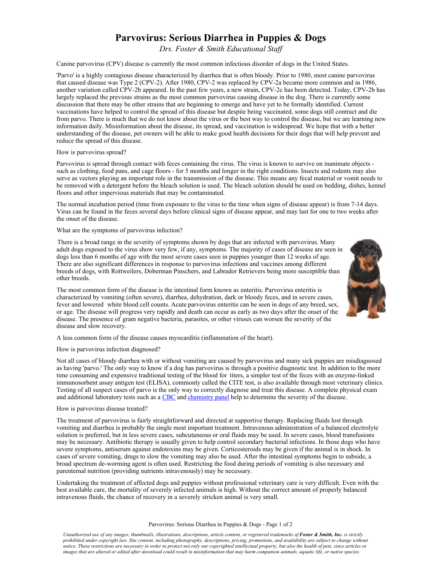# **Parvovirus: Serious Diarrhea in Puppies & Dogs**

*Drs. Foster & Smith Educational Staff* 

Canine parvovirus (CPV) disease is currently the most common infectious disorder of dogs in the United States.

'Parvo' is a highly contagious disease characterized by diarrhea that is often bloody. Prior to 1980, most canine parvovirus that caused disease was Type 2 (CPV-2). After 1980, CPV-2 was replaced by CPV-2a became more common and in 1986, another variation called CPV-2b appeared. In the past few years, a new strain, CPV-2c has been detected. Today, CPV-2b has largely replaced the previous strains as the most common parvovirus causing disease in the dog. There is currently some discussion that there may be other strains that are beginning to emerge and have yet to be formally identified. Current vaccinations have helped to control the spread of this disease but despite being vaccinated, some dogs still contract and die from parvo. There is much that we do not know about the virus or the best way to control the disease, but we are learning new information daily. Misinformation about the disease, its spread, and vaccination is widespread. We hope that with a better understanding of the disease, pet owners will be able to make good health decisions for their dogs that will help prevent and reduce the spread of this disease.

## How is parvovirus spread?

Parvovirus is spread through contact with feces containing the virus. The virus is known to survive on inanimate objects such as clothing, food pans, and cage floors - for 5 months and longer in the right conditions. Insects and rodents may also serve as vectors playing an important role in the transmission of the disease. This means any fecal material or vomit needs to be removed with a detergent before the bleach solution is used. The bleach solution should be used on bedding, dishes, kennel floors and other impervious materials that may be contaminated.

The normal incubation period (time from exposure to the virus to the time when signs of disease appear) is from 7-14 days. Virus can be found in the feces several days before clinical signs of disease appear, and may last for one to two weeks after the onset of the disease.

## What are the symptoms of parvovirus infection?

There is a broad range in the severity of symptoms shown by dogs that are infected with parvovirus. Many adult dogs exposed to the virus show very few, if any, symptoms. The majority of cases of disease are seen in dogs less than 6 months of age with the most severe cases seen in puppies younger than 12 weeks of age. There are also significant differences in response to parvovirus infections and vaccines among different breeds of dogs, with Rottweilers, Doberman Pinschers, and Labrador Retrievers being more susceptible than other breeds.



A less common form of the disease causes myocarditis (inflammation of the heart).

#### How is parvovirus infection diagnosed?

disease and slow recovery.

Not all cases of bloody diarrhea with or without vomiting are caused by parvovirus and many sick puppies are misdiagnosed as having 'parvo.' The only way to know if a dog has parvovirus is through a positive diagnostic test. In addition to the more time consuming and expensive traditional testing of the blood for titers, a simpler test of the feces with an enzyme-linked immunosorbent assay antigen test (ELISA), commonly called the CITE test, is also available through most veterinary clinics. Testing of all suspect cases of parvo is the only way to correctly diagnose and treat this disease. A complete physical exam and additional laboratory tests such as a [CBC](http://www.peteducation.com/article.cfm?c=0+1302+1473&aid=987) and [chemistry panel](http://www.peteducation.com/article.cfm?c=0+1302+1473&aid=993) help to determine the severity of the disease.

#### How is parvovirus disease treated?

The treatment of parvovirus is fairly straightforward and directed at supportive therapy. Replacing fluids lost through vomiting and diarrhea is probably the single most important treatment. Intravenous administration of a balanced electrolyte solution is preferred, but in less severe cases, subcutaneous or oral fluids may be used. In severe cases, blood transfusions may be necessary. Antibiotic therapy is usually given to help control secondary bacterial infections. In those dogs who have severe symptoms, antiserum against endotoxins may be given. Corticosteroids may be given if the animal is in shock. In cases of severe vomiting, drugs to slow the vomiting may also be used. After the intestinal symptoms begin to subside, a broad spectrum de-worming agent is often used. Restricting the food during periods of vomiting is also necessary and parenternal nutrition (providing nutrients intravenously) may be necessary.

Undertaking the treatment of affected dogs and puppies without professional veterinary care is very difficult. Even with the best available care, the mortality of severely infected animals is high. Without the correct amount of properly balanced intravenous fluids, the chance of recovery in a severely stricken animal is very small.

#### Parvovirus: Serious Diarrhea in Puppies & Dogs - Page 1 of 2

*Unauthorized use of any images, thumbnails, illustrations, descriptions, article content, or registered trademarks of Foster & Smith, Inc. is strictly prohibited under copyright law. Site content, including photography, descriptions, pricing, promotions, and availability are subject to change without notice. These restrictions are necessary in order to protect not only our copyrighted intellectual property, but also the health of pets, since articles or images that are altered or edited after download could result in misinformation that may harm companion animals, aquatic life, or native species.*